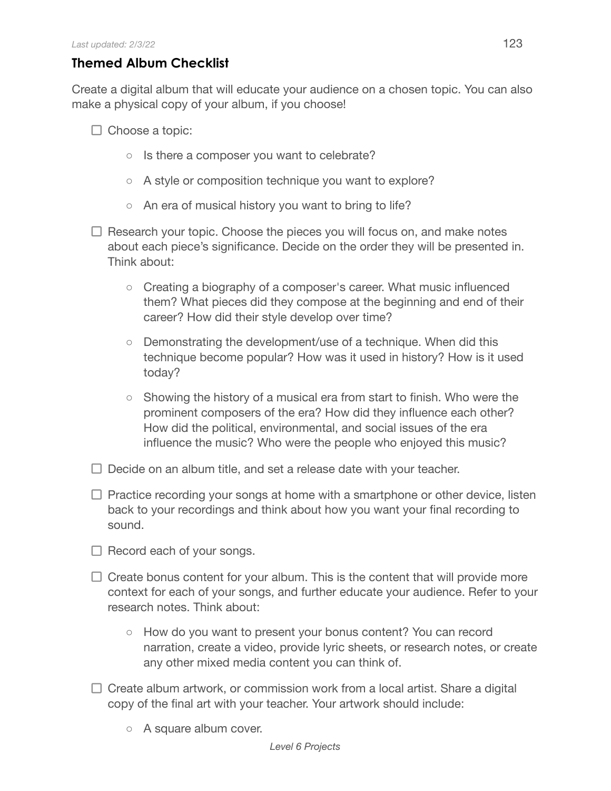## **Themed Album Checklist**

Create a digital album that will educate your audience on a chosen topic. You can also make a physical copy of your album, if you choose!

- $\Box$  Choose a topic:
	- Is there a composer you want to celebrate?
	- A style or composition technique you want to explore?
	- An era of musical history you want to bring to life?
- $\Box$  Research your topic. Choose the pieces you will focus on, and make notes about each piece's significance. Decide on the order they will be presented in. Think about:
	- Creating a biography of a composer's career. What music influenced them? What pieces did they compose at the beginning and end of their career? How did their style develop over time?
	- Demonstrating the development/use of a technique. When did this technique become popular? How was it used in history? How is it used today?
	- $\circ$  Showing the history of a musical era from start to finish. Who were the prominent composers of the era? How did they influence each other? How did the political, environmental, and social issues of the era influence the music? Who were the people who enjoyed this music?
- $\Box$  Decide on an album title, and set a release date with your teacher.
- $\Box$  Practice recording your songs at home with a smartphone or other device, listen back to your recordings and think about how you want your final recording to sound.
- $\Box$  Record each of your songs.
- $\Box$  Create bonus content for your album. This is the content that will provide more context for each of your songs, and further educate your audience. Refer to your research notes. Think about:
	- How do you want to present your bonus content? You can record narration, create a video, provide lyric sheets, or research notes, or create any other mixed media content you can think of.
- $\Box$  Create album artwork, or commission work from a local artist. Share a digital copy of the final art with your teacher. Your artwork should include:
	- A square album cover.